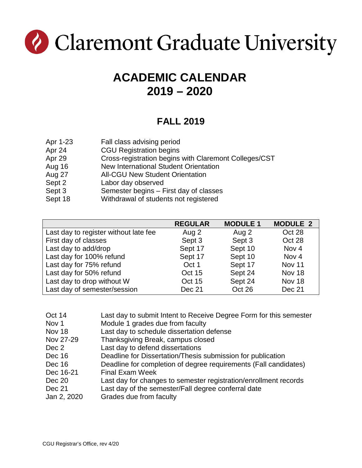

# **ACADEMIC CALENDAR 2019 – 2020**

#### **FALL 2019**

| Apr 1-23 | Fall class advising period                            |
|----------|-------------------------------------------------------|
| Apr 24   | <b>CGU Registration begins</b>                        |
| Apr 29   | Cross-registration begins with Claremont Colleges/CST |
| Aug 16   | New International Student Orientation                 |
| Aug 27   | <b>All-CGU New Student Orientation</b>                |
| Sept 2   | Labor day observed                                    |
| Sept 3   | Semester begins – First day of classes                |
| Sept 18  | Withdrawal of students not registered                 |

|                                       | <b>REGULAR</b> | <b>MODULE 1</b> | <b>MODULE 2</b>  |
|---------------------------------------|----------------|-----------------|------------------|
| Last day to register without late fee | Aug 2          | Aug 2           | Oct 28           |
| First day of classes                  | Sept 3         | Sept 3          | Oct 28           |
| Last day to add/drop                  | Sept 17        | Sept 10         | Nov <sub>4</sub> |
| Last day for 100% refund              | Sept 17        | Sept 10         | Nov <sub>4</sub> |
| Last day for 75% refund               | Oct 1          | Sept 17         | Nov 11           |
| Last day for 50% refund               | Oct 15         | Sept 24         | Nov 18           |
| Last day to drop without W            | Oct 15         | Sept 24         | Nov 18           |
| Last day of semester/session          | Dec 21         | Oct 26          | Dec 21           |

| Oct 14           | Last day to submit Intent to Receive Degree Form for this semester |
|------------------|--------------------------------------------------------------------|
| Nov <sub>1</sub> | Module 1 grades due from faculty                                   |
| Nov 18           | Last day to schedule dissertation defense                          |
| Nov 27-29        | Thanksgiving Break, campus closed                                  |
| Dec 2            | Last day to defend dissertations                                   |
| Dec 16           | Deadline for Dissertation/Thesis submission for publication        |
| Dec 16           | Deadline for completion of degree requirements (Fall candidates)   |
| Dec 16-21        | <b>Final Exam Week</b>                                             |
| Dec 20           | Last day for changes to semester registration/enrollment records   |
| <b>Dec 21</b>    | Last day of the semester/Fall degree conferral date                |
| Jan 2, 2020      | Grades due from faculty                                            |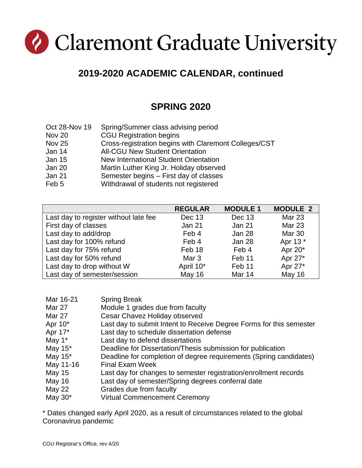# Claremont Graduate University

## **2019-2020 ACADEMIC CALENDAR, continued**

### **SPRING 2020**

| Oct 28-Nov 19 | Spring/Summer class advising period                   |
|---------------|-------------------------------------------------------|
| Nov 20        | <b>CGU Registration begins</b>                        |
| <b>Nov 25</b> | Cross-registration begins with Claremont Colleges/CST |
| Jan 14        | <b>All-CGU New Student Orientation</b>                |
| <b>Jan 15</b> | New International Student Orientation                 |
| Jan 20        | Martin Luther King Jr. Holiday observed               |
| <b>Jan 21</b> | Semester begins – First day of classes                |
| Feb 5         | Withdrawal of students not registered                 |

|                                       | <b>REGULAR</b>   | <b>MODULE 1</b> | <b>MODULE 2</b> |
|---------------------------------------|------------------|-----------------|-----------------|
| Last day to register without late fee | Dec 13           | Dec 13          | Mar 23          |
| First day of classes                  | Jan 21           | <b>Jan 21</b>   | Mar 23          |
| Last day to add/drop                  | Feb 4            | Jan 28          | <b>Mar 30</b>   |
| Last day for 100% refund              | Feb 4            | Jan 28          | Apr 13 *        |
| Last day for 75% refund               | Feb 18           | Feb 4           | Apr 20*         |
| Last day for 50% refund               | Mar <sub>3</sub> | Feb 11          | Apr 27*         |
| Last day to drop without W            | April 10*        | Feb 11          | Apr 27*         |
| Last day of semester/session          | <b>May 16</b>    | Mar 14          | <b>May 16</b>   |

| Mar 16-21     | <b>Spring Break</b>                                                 |
|---------------|---------------------------------------------------------------------|
| Mar 27        | Module 1 grades due from faculty                                    |
| Mar 27        | Cesar Chavez Holiday observed                                       |
| Apr $10^*$    | Last day to submit Intent to Receive Degree Forms for this semester |
| Apr 17*       | Last day to schedule dissertation defense                           |
| May $1^*$     | Last day to defend dissertations                                    |
| May $15^*$    | Deadline for Dissertation/Thesis submission for publication         |
| May $15^*$    | Deadline for completion of degree requirements (Spring candidates)  |
| May 11-16     | <b>Final Exam Week</b>                                              |
| May 15        | Last day for changes to semester registration/enrollment records    |
| <b>May 16</b> | Last day of semester/Spring degrees conferral date                  |
| May 22        | Grades due from faculty                                             |
| May $30^*$    | <b>Virtual Commencement Ceremony</b>                                |

\* Dates changed early April 2020, as a result of circumstances related to the global Coronavirus pandemic